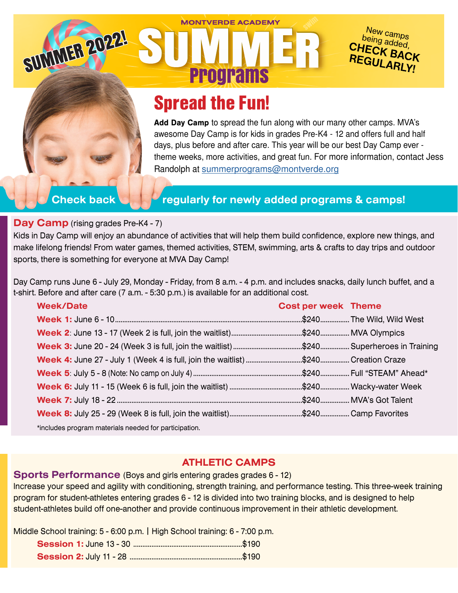# Spread the Fun!

**MONTVERDE ACADEMY** 

**Programs** 

**Add Day Camp** to spread the fun along with our many other camps. MVA's awesome Day Camp is for kids in grades Pre-K4 - 12 and offers full and half days, plus before and after care. This year will be our best Day Camp ever theme weeks, more activities, and great fun. For more information, contact Jess Randolph at [summerprograms@montverde.org](mailto:summerprograms%40montverde.org?subject=)

New camps<br>Peing add being added, CHECK BACK<br>REGIU ARICK REGULARLY!

SUMMER 2022!

## **Check back Figularly for newly added programs & camps!**

#### **Day Camp** (rising grades Pre-K4 - 7)

Kids in Day Camp will enjoy an abundance of activities that will help them build confidence, explore new things, and make lifelong friends! From water games, themed activities, STEM, swimming, arts & crafts to day trips and outdoor sports, there is something for everyone at MVA Day Camp!

Day Camp runs June 6 - July 29, Monday - Friday, from 8 a.m. - 4 p.m. and includes snacks, daily lunch buffet, and a t-shirt. Before and after care (7 a.m. - 5:30 p.m.) is available for an additional cost.

| <b>Week/Date</b>                                                                   | <b>Cost per week Theme</b> |  |
|------------------------------------------------------------------------------------|----------------------------|--|
|                                                                                    |                            |  |
|                                                                                    |                            |  |
|                                                                                    |                            |  |
| Week 4: June 27 - July 1 (Week 4 is full, join the waitlist) \$240  Creation Craze |                            |  |
|                                                                                    |                            |  |
|                                                                                    |                            |  |
|                                                                                    |                            |  |
|                                                                                    |                            |  |
| *includes program materials needed for participation.                              |                            |  |

## **ATHLETIC CAMPS**

**Sports Performance** (Boys and girls entering grades grades 6 - 12)

Increase your speed and agility with conditioning, strength training, and performance testing. This three-week training program for student-athletes entering grades 6 - 12 is divided into two training blocks, and is designed to help student-athletes build off one-another and provide continuous improvement in their athletic development.

Middle School training: 5 - 6:00 p.m. | High School training: 6 - 7:00 p.m.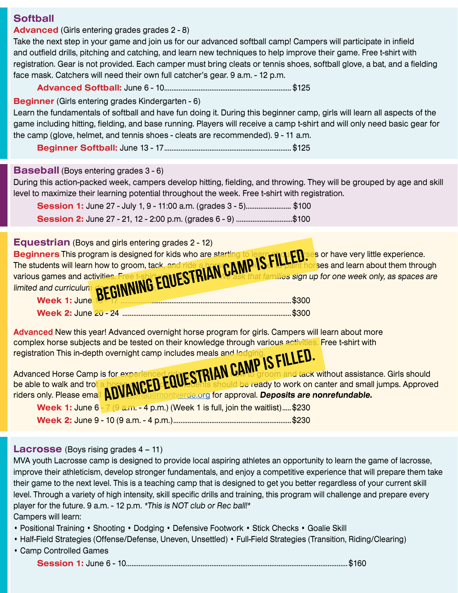## **Softball**

#### **Advanced** (Girls entering grades grades 2 - 8)

Take the next step in your game and join us for our advanced softball camp! Campers will participate in infield and outfield drills, pitching and catching, and learn new techniques to help improve their game. Free t-shirt with registration. Gear is not provided. Each camper must bring cleats or tennis shoes, softball glove, a bat, and a fielding face mask. Catchers will need their own full catcher's gear. 9 a.m. - 12 p.m.

#### **Advanced Softball:** June 6 - 10...................................................................... \$125

#### **Beginner** (Girls entering grades Kindergarten - 6)

Learn the fundamentals of softball and have fun doing it. During this beginner camp, girls will learn all aspects of the game including hitting, fielding, and base running. Players will receive a camp t-shirt and will only need basic gear for the camp (glove, helmet, and tennis shoes - cleats are recommended). 9 - 11 a.m.

**Beginner Softball:** June 13 - 17...................................................................... \$125

#### **Baseball** (Boys entering grades 3 - 6)

During this action-packed week, campers develop hitting, fielding, and throwing. They will be grouped by age and skill level to maximize their learning potential throughout the week. Free t-shirt with registration.

**Session 1:** June 27 - July 1, 9 - 11:00 a.m. (grades 3 - 5)..........................\$100 **Session 2:** June 27 - 21, 12 - 2:00 p.m. (grades 6 - 9) ...............................\$100

| <b>Equestrian</b> (Boys and girls entering grades 2 - 12)                                                                                                                                                                           |  |
|-------------------------------------------------------------------------------------------------------------------------------------------------------------------------------------------------------------------------------------|--|
| <b>Beginners</b> This program is designed for kids who are starting<br>s or have very little experience.                                                                                                                            |  |
| orses and learn about them through                                                                                                                                                                                                  |  |
| that families sign up for one week only, as spaces are                                                                                                                                                                              |  |
|                                                                                                                                                                                                                                     |  |
| The students will learn how to groom, tack, and ride a how CAMP. IS FILLED severious games and activities. Free t-shirt COULSTRIAN CLASS for the families sign up for a nited and curriculum <b>SECINNING EQUESTRIAN</b> CLASS that |  |
| \$300                                                                                                                                                                                                                               |  |

**Advanced** New this year! Advanced overnight horse program for girls. Campers will learn about more complex horse subjects and be tested on their knowledge through various activities. Free t-shirt with

| registration This in-depth overnight camp includes meals and lodging.<br>Advanced Horse Camp is for experienced ridges TRIAN CAMP IS FILLED.<br>be able to walk and trot a horse program CED-EQUESEnts should be ready to work on ca |
|--------------------------------------------------------------------------------------------------------------------------------------------------------------------------------------------------------------------------------------|
| to groom and tack without assistance. Girls should                                                                                                                                                                                   |
| hts should be ready to work on canter and small jumps. Approved                                                                                                                                                                      |
| <b>Hau@montverde.org for approval. Deposits are nonrefundable.</b>                                                                                                                                                                   |
| Week 1: June $6 - 7$ (9 a.m. - 4 p.m.) (Week 1 is full, join the waitlist)\$230                                                                                                                                                      |
|                                                                                                                                                                                                                                      |

#### **Lacrosse** (Boys rising grades 4 – 11)

MVA youth Lacrosse camp is designed to provide local aspiring athletes an opportunity to learn the game of lacrosse, improve their athleticism, develop stronger fundamentals, and enjoy a competitive experience that will prepare them take their game to the next level. This is a teaching camp that is designed to get you better regardless of your current skill level. Through a variety of high intensity, skill specific drills and training, this program will challenge and prepare every player for the future. 9 a.m. - 12 p.m. \*This is NOT club or Rec ball!\* Campers will learn:

- Positional Training Shooting Dodging Defensive Footwork Stick Checks Goalie Skill
- Half-Field Strategies (Offense/Defense, Uneven, Unsettled) Full-Field Strategies (Transition, Riding/Clearing)
- Camp Controlled Games

```
Session 1: June 6 - 10..........................................................................................................................$160
```